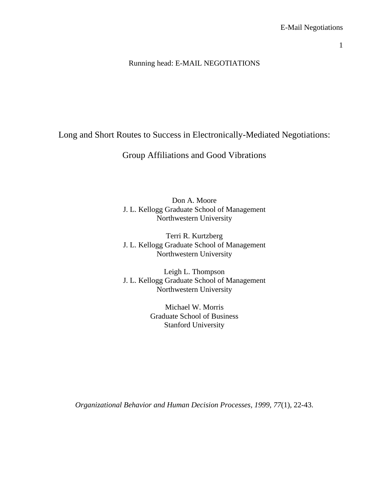# Running head: E-MAIL NEGOTIATIONS

Long and Short Routes to Success in Electronically-Mediated Negotiations:

Group Affiliations and Good Vibrations

Don A. Moore J. L. Kellogg Graduate School of Management Northwestern University

Terri R. Kurtzberg J. L. Kellogg Graduate School of Management Northwestern University

Leigh L. Thompson J. L. Kellogg Graduate School of Management Northwestern University

> Michael W. Morris Graduate School of Business Stanford University

*Organizational Behavior and Human Decision Processes, 1999, 77*(1), 22-43.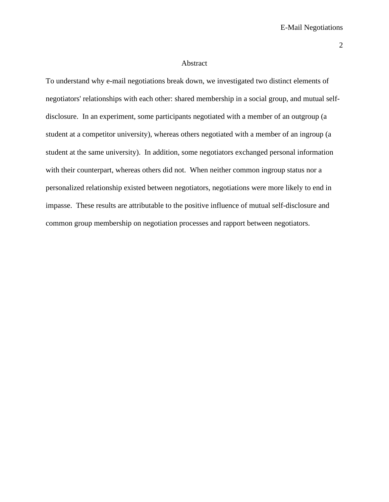# Abstract

To understand why e-mail negotiations break down, we investigated two distinct elements of negotiators' relationships with each other: shared membership in a social group, and mutual selfdisclosure. In an experiment, some participants negotiated with a member of an outgroup (a student at a competitor university), whereas others negotiated with a member of an ingroup (a student at the same university). In addition, some negotiators exchanged personal information with their counterpart, whereas others did not. When neither common ingroup status nor a personalized relationship existed between negotiators, negotiations were more likely to end in impasse. These results are attributable to the positive influence of mutual self-disclosure and common group membership on negotiation processes and rapport between negotiators.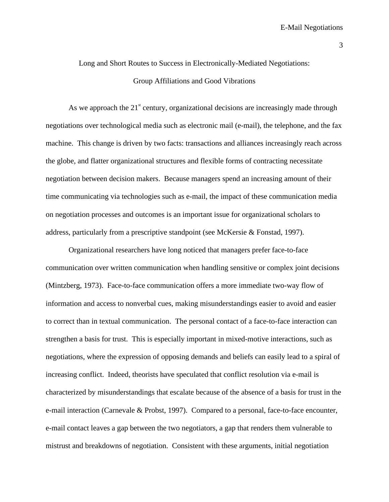# Long and Short Routes to Success in Electronically-Mediated Negotiations: Group Affiliations and Good Vibrations

As we approach the  $21<sup>st</sup>$  century, organizational decisions are increasingly made through negotiations over technological media such as electronic mail (e-mail), the telephone, and the fax machine. This change is driven by two facts: transactions and alliances increasingly reach across the globe, and flatter organizational structures and flexible forms of contracting necessitate negotiation between decision makers. Because managers spend an increasing amount of their time communicating via technologies such as e-mail, the impact of these communication media on negotiation processes and outcomes is an important issue for organizational scholars to address, particularly from a prescriptive standpoint (see McKersie & Fonstad, 1997).

Organizational researchers have long noticed that managers prefer face-to-face communication over written communication when handling sensitive or complex joint decisions (Mintzberg, 1973). Face-to-face communication offers a more immediate two-way flow of information and access to nonverbal cues, making misunderstandings easier to avoid and easier to correct than in textual communication. The personal contact of a face-to-face interaction can strengthen a basis for trust. This is especially important in mixed-motive interactions, such as negotiations, where the expression of opposing demands and beliefs can easily lead to a spiral of increasing conflict. Indeed, theorists have speculated that conflict resolution via e-mail is characterized by misunderstandings that escalate because of the absence of a basis for trust in the e-mail interaction (Carnevale & Probst, 1997). Compared to a personal, face-to-face encounter, e-mail contact leaves a gap between the two negotiators, a gap that renders them vulnerable to mistrust and breakdowns of negotiation. Consistent with these arguments, initial negotiation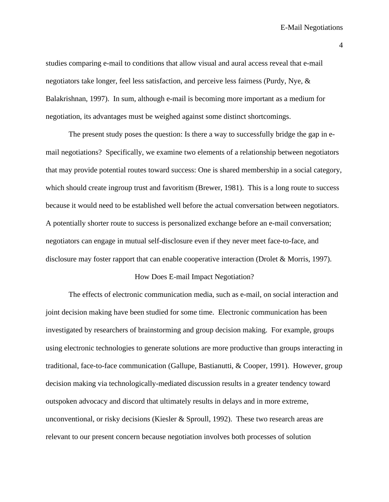studies comparing e-mail to conditions that allow visual and aural access reveal that e-mail negotiators take longer, feel less satisfaction, and perceive less fairness (Purdy, Nye, & Balakrishnan, 1997). In sum, although e-mail is becoming more important as a medium for negotiation, its advantages must be weighed against some distinct shortcomings.

The present study poses the question: Is there a way to successfully bridge the gap in email negotiations? Specifically, we examine two elements of a relationship between negotiators that may provide potential routes toward success: One is shared membership in a social category, which should create ingroup trust and favoritism (Brewer, 1981). This is a long route to success because it would need to be established well before the actual conversation between negotiators. A potentially shorter route to success is personalized exchange before an e-mail conversation; negotiators can engage in mutual self-disclosure even if they never meet face-to-face, and disclosure may foster rapport that can enable cooperative interaction (Drolet & Morris, 1997).

# How Does E-mail Impact Negotiation?

The effects of electronic communication media, such as e-mail, on social interaction and joint decision making have been studied for some time. Electronic communication has been investigated by researchers of brainstorming and group decision making. For example, groups using electronic technologies to generate solutions are more productive than groups interacting in traditional, face-to-face communication (Gallupe, Bastianutti, & Cooper, 1991). However, group decision making via technologically-mediated discussion results in a greater tendency toward outspoken advocacy and discord that ultimately results in delays and in more extreme, unconventional, or risky decisions (Kiesler & Sproull, 1992). These two research areas are relevant to our present concern because negotiation involves both processes of solution

4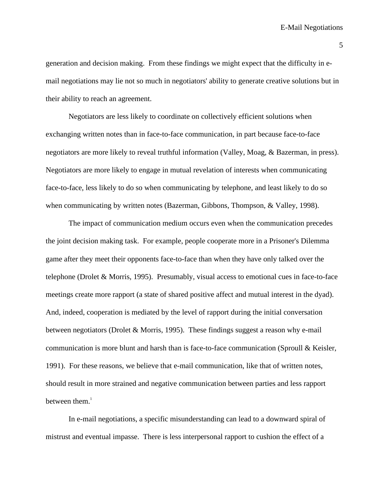generation and decision making. From these findings we might expect that the difficulty in email negotiations may lie not so much in negotiators' ability to generate creative solutions but in their ability to reach an agreement.

Negotiators are less likely to coordinate on collectively efficient solutions when exchanging written notes than in face-to-face communication, in part because face-to-face negotiators are more likely to reveal truthful information (Valley, Moag, & Bazerman, in press). Negotiators are more likely to engage in mutual revelation of interests when communicating face-to-face, less likely to do so when communicating by telephone, and least likely to do so when communicating by written notes (Bazerman, Gibbons, Thompson, & Valley, 1998).

The impact of communication medium occurs even when the communication precedes the joint decision making task. For example, people cooperate more in a Prisoner's Dilemma game after they meet their opponents face-to-face than when they have only talked over the telephone (Drolet & Morris, 1995). Presumably, visual access to emotional cues in face-to-face meetings create more rapport (a state of shared positive affect and mutual interest in the dyad). And, indeed, cooperation is mediated by the level of rapport during the initial conversation between negotiators (Drolet & Morris, 1995). These findings suggest a reason why e-mail communication is more blunt and harsh than is face-to-face communication (Sproull & Keisler, 1991). For these reasons, we believe that e-mail communication, like that of written notes, should result in more strained and negative communication between parties and less rapport between them.<sup>1</sup>

In e-mail negotiations, a specific misunderstanding can lead to a downward spiral of mistrust and eventual impasse. There is less interpersonal rapport to cushion the effect of a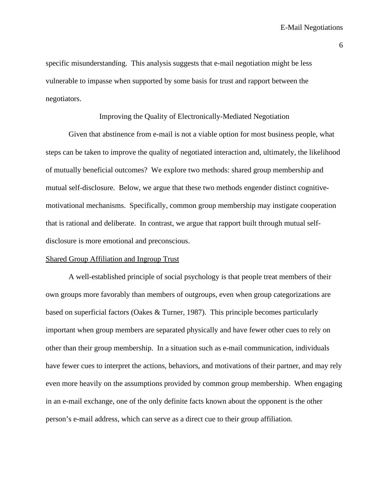specific misunderstanding. This analysis suggests that e-mail negotiation might be less vulnerable to impasse when supported by some basis for trust and rapport between the negotiators.

# Improving the Quality of Electronically-Mediated Negotiation

Given that abstinence from e-mail is not a viable option for most business people, what steps can be taken to improve the quality of negotiated interaction and, ultimately, the likelihood of mutually beneficial outcomes? We explore two methods: shared group membership and mutual self-disclosure. Below, we argue that these two methods engender distinct cognitivemotivational mechanisms. Specifically, common group membership may instigate cooperation that is rational and deliberate. In contrast, we argue that rapport built through mutual selfdisclosure is more emotional and preconscious.

# Shared Group Affiliation and Ingroup Trust

A well-established principle of social psychology is that people treat members of their own groups more favorably than members of outgroups, even when group categorizations are based on superficial factors (Oakes & Turner, 1987). This principle becomes particularly important when group members are separated physically and have fewer other cues to rely on other than their group membership. In a situation such as e-mail communication, individuals have fewer cues to interpret the actions, behaviors, and motivations of their partner, and may rely even more heavily on the assumptions provided by common group membership. When engaging in an e-mail exchange, one of the only definite facts known about the opponent is the other person's e-mail address, which can serve as a direct cue to their group affiliation.

6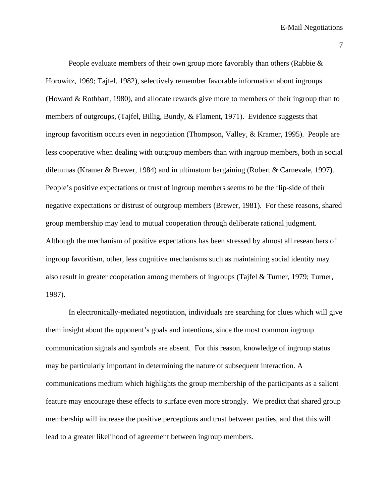People evaluate members of their own group more favorably than others (Rabbie & Horowitz, 1969; Tajfel, 1982), selectively remember favorable information about ingroups (Howard & Rothbart, 1980), and allocate rewards give more to members of their ingroup than to members of outgroups, (Tajfel, Billig, Bundy, & Flament, 1971). Evidence suggests that ingroup favoritism occurs even in negotiation (Thompson, Valley, & Kramer, 1995). People are less cooperative when dealing with outgroup members than with ingroup members, both in social dilemmas (Kramer & Brewer, 1984) and in ultimatum bargaining (Robert & Carnevale, 1997). People's positive expectations or trust of ingroup members seems to be the flip-side of their negative expectations or distrust of outgroup members (Brewer, 1981). For these reasons, shared group membership may lead to mutual cooperation through deliberate rational judgment. Although the mechanism of positive expectations has been stressed by almost all researchers of ingroup favoritism, other, less cognitive mechanisms such as maintaining social identity may also result in greater cooperation among members of ingroups (Tajfel & Turner, 1979; Turner, 1987).

In electronically-mediated negotiation, individuals are searching for clues which will give them insight about the opponent's goals and intentions, since the most common ingroup communication signals and symbols are absent. For this reason, knowledge of ingroup status may be particularly important in determining the nature of subsequent interaction. A communications medium which highlights the group membership of the participants as a salient feature may encourage these effects to surface even more strongly. We predict that shared group membership will increase the positive perceptions and trust between parties, and that this will lead to a greater likelihood of agreement between ingroup members.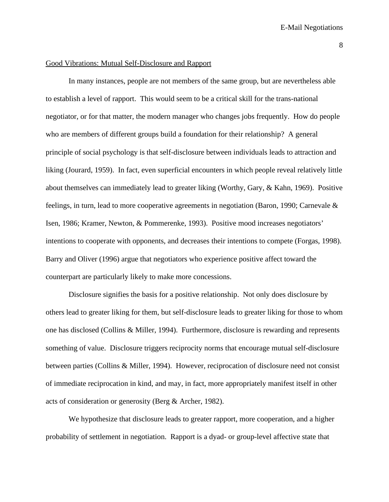#### Good Vibrations: Mutual Self-Disclosure and Rapport

In many instances, people are not members of the same group, but are nevertheless able to establish a level of rapport. This would seem to be a critical skill for the trans-national negotiator, or for that matter, the modern manager who changes jobs frequently. How do people who are members of different groups build a foundation for their relationship? A general principle of social psychology is that self-disclosure between individuals leads to attraction and liking (Jourard, 1959). In fact, even superficial encounters in which people reveal relatively little about themselves can immediately lead to greater liking (Worthy, Gary, & Kahn, 1969). Positive feelings, in turn, lead to more cooperative agreements in negotiation (Baron, 1990; Carnevale & Isen, 1986; Kramer, Newton, & Pommerenke, 1993). Positive mood increases negotiators' intentions to cooperate with opponents, and decreases their intentions to compete (Forgas, 1998). Barry and Oliver (1996) argue that negotiators who experience positive affect toward the counterpart are particularly likely to make more concessions.

Disclosure signifies the basis for a positive relationship. Not only does disclosure by others lead to greater liking for them, but self-disclosure leads to greater liking for those to whom one has disclosed (Collins & Miller, 1994). Furthermore, disclosure is rewarding and represents something of value. Disclosure triggers reciprocity norms that encourage mutual self-disclosure between parties (Collins & Miller, 1994). However, reciprocation of disclosure need not consist of immediate reciprocation in kind, and may, in fact, more appropriately manifest itself in other acts of consideration or generosity (Berg & Archer, 1982).

We hypothesize that disclosure leads to greater rapport, more cooperation, and a higher probability of settlement in negotiation. Rapport is a dyad- or group-level affective state that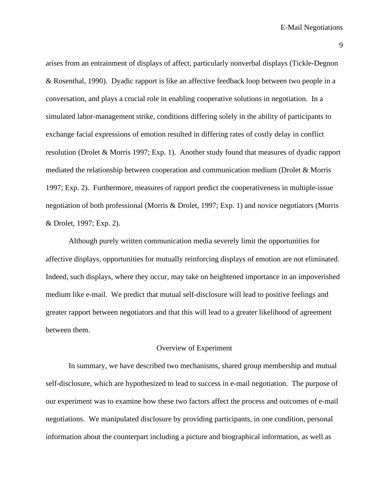arises from an entrainment of displays of affect, particularly nonverbal displays (Tickle-Degnon & Rosenthal, 1990). Dyadic rapport is like an affective feedback loop between two people in a conversation, and plays a crucial role in enabling cooperative solutions in negotiation. In a simulated labor-management strike, conditions differing solely in the ability of participants to exchange facial expressions of emotion resulted in differing rates of costly delay in conflict resolution (Drolet & Morris 1997; Exp. 1). Another study found that measures of dyadic rapport mediated the relationship between cooperation and communication medium (Drolet & Morris 1997; Exp. 2). Furthermore, measures of rapport predict the cooperativeness in multiple-issue negotiation of both professional (Morris & Drolet, 1997; Exp. 1) and novice negotiators (Morris & Drolet, 1997; Exp. 2).

Although purely written communication media severely limit the opportunities for affective displays, opportunities for mutually reinforcing displays of emotion are not eliminated. Indeed, such displays, where they occur, may take on heightened importance in an impoverished medium like e-mail. We predict that mutual self-disclosure will lead to positive feelings and greater rapport between negotiators and that this will lead to a greater likelihood of agreement between them.

# Overview of Experiment

In summary, we have described two mechanisms, shared group membership and mutual self-disclosure, which are hypothesized to lead to success in e-mail negotiation. The purpose of our experiment was to examine how these two factors affect the process and outcomes of e-mail negotiations. We manipulated disclosure by providing participants, in one condition, personal information about the counterpart including a picture and biographical information, as well as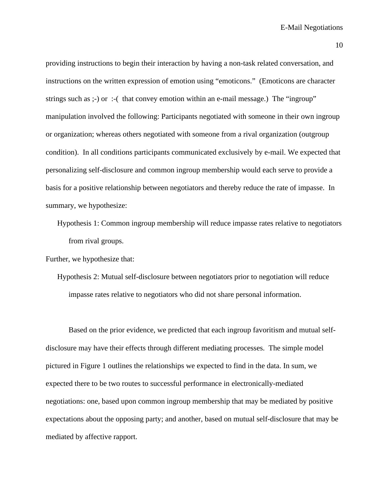providing instructions to begin their interaction by having a non-task related conversation, and instructions on the written expression of emotion using "emoticons." (Emoticons are character strings such as  $(-)$  or  $(-)$  that convey emotion within an e-mail message.) The "ingroup" manipulation involved the following: Participants negotiated with someone in their own ingroup or organization; whereas others negotiated with someone from a rival organization (outgroup condition). In all conditions participants communicated exclusively by e-mail. We expected that personalizing self-disclosure and common ingroup membership would each serve to provide a basis for a positive relationship between negotiators and thereby reduce the rate of impasse. In summary, we hypothesize:

Hypothesis 1: Common ingroup membership will reduce impasse rates relative to negotiators from rival groups.

Further, we hypothesize that:

Hypothesis 2: Mutual self-disclosure between negotiators prior to negotiation will reduce impasse rates relative to negotiators who did not share personal information.

Based on the prior evidence, we predicted that each ingroup favoritism and mutual selfdisclosure may have their effects through different mediating processes. The simple model pictured in Figure 1 outlines the relationships we expected to find in the data. In sum, we expected there to be two routes to successful performance in electronically-mediated negotiations: one, based upon common ingroup membership that may be mediated by positive expectations about the opposing party; and another, based on mutual self-disclosure that may be mediated by affective rapport.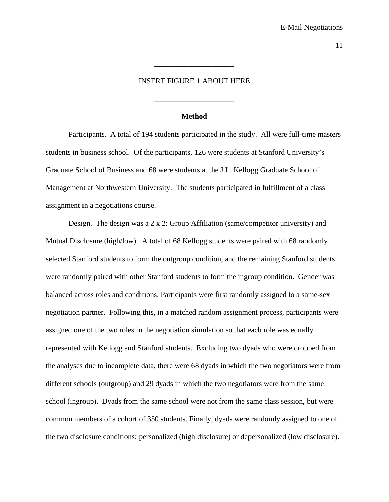# INSERT FIGURE 1 ABOUT HERE

\_\_\_\_\_\_\_\_\_\_\_\_\_\_\_\_\_\_\_\_\_

\_\_\_\_\_\_\_\_\_\_\_\_\_\_\_\_\_\_\_\_\_

### **Method**

Participants. A total of 194 students participated in the study. All were full-time masters students in business school. Of the participants, 126 were students at Stanford University's Graduate School of Business and 68 were students at the J.L. Kellogg Graduate School of Management at Northwestern University. The students participated in fulfillment of a class assignment in a negotiations course.

Design. The design was a 2 x 2: Group Affiliation (same/competitor university) and Mutual Disclosure (high/low). A total of 68 Kellogg students were paired with 68 randomly selected Stanford students to form the outgroup condition, and the remaining Stanford students were randomly paired with other Stanford students to form the ingroup condition. Gender was balanced across roles and conditions. Participants were first randomly assigned to a same-sex negotiation partner. Following this, in a matched random assignment process, participants were assigned one of the two roles in the negotiation simulation so that each role was equally represented with Kellogg and Stanford students. Excluding two dyads who were dropped from the analyses due to incomplete data, there were 68 dyads in which the two negotiators were from different schools (outgroup) and 29 dyads in which the two negotiators were from the same school (ingroup). Dyads from the same school were not from the same class session, but were common members of a cohort of 350 students. Finally, dyads were randomly assigned to one of the two disclosure conditions: personalized (high disclosure) or depersonalized (low disclosure).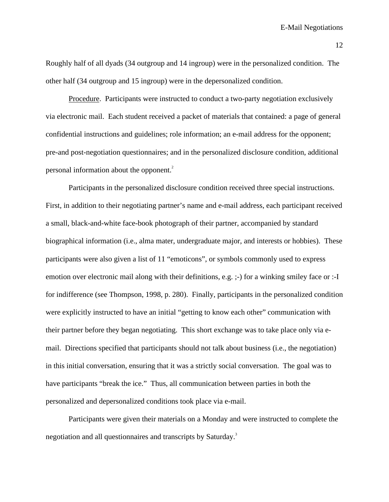Roughly half of all dyads (34 outgroup and 14 ingroup) were in the personalized condition. The other half (34 outgroup and 15 ingroup) were in the depersonalized condition.

Procedure. Participants were instructed to conduct a two-party negotiation exclusively via electronic mail. Each student received a packet of materials that contained: a page of general confidential instructions and guidelines; role information; an e-mail address for the opponent; pre-and post-negotiation questionnaires; and in the personalized disclosure condition, additional personal information about the opponent.<sup>2</sup>

Participants in the personalized disclosure condition received three special instructions. First, in addition to their negotiating partner's name and e-mail address, each participant received a small, black-and-white face-book photograph of their partner, accompanied by standard biographical information (i.e., alma mater, undergraduate major, and interests or hobbies). These participants were also given a list of 11 "emoticons", or symbols commonly used to express emotion over electronic mail along with their definitions, e.g. ;-) for a winking smiley face or :-I for indifference (see Thompson, 1998, p. 280). Finally, participants in the personalized condition were explicitly instructed to have an initial "getting to know each other" communication with their partner before they began negotiating. This short exchange was to take place only via email. Directions specified that participants should not talk about business (i.e., the negotiation) in this initial conversation, ensuring that it was a strictly social conversation. The goal was to have participants "break the ice." Thus, all communication between parties in both the personalized and depersonalized conditions took place via e-mail.

Participants were given their materials on a Monday and were instructed to complete the negotiation and all questionnaires and transcripts by Saturday.<sup>3</sup>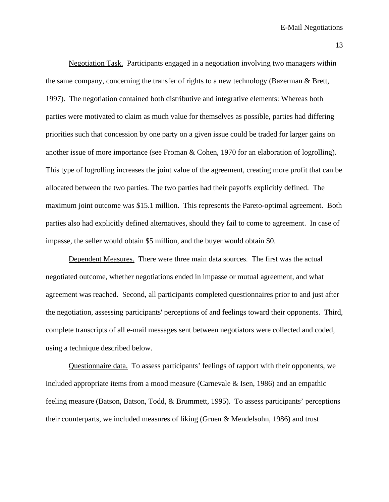Negotiation Task. Participants engaged in a negotiation involving two managers within the same company, concerning the transfer of rights to a new technology (Bazerman & Brett, 1997). The negotiation contained both distributive and integrative elements: Whereas both parties were motivated to claim as much value for themselves as possible, parties had differing priorities such that concession by one party on a given issue could be traded for larger gains on another issue of more importance (see Froman & Cohen, 1970 for an elaboration of logrolling). This type of logrolling increases the joint value of the agreement, creating more profit that can be allocated between the two parties. The two parties had their payoffs explicitly defined. The maximum joint outcome was \$15.1 million. This represents the Pareto-optimal agreement. Both parties also had explicitly defined alternatives, should they fail to come to agreement. In case of impasse, the seller would obtain \$5 million, and the buyer would obtain \$0.

Dependent Measures. There were three main data sources. The first was the actual negotiated outcome, whether negotiations ended in impasse or mutual agreement, and what agreement was reached. Second, all participants completed questionnaires prior to and just after the negotiation, assessing participants' perceptions of and feelings toward their opponents. Third, complete transcripts of all e-mail messages sent between negotiators were collected and coded, using a technique described below.

Questionnaire data. To assess participants' feelings of rapport with their opponents, we included appropriate items from a mood measure (Carnevale  $\&$  Isen, 1986) and an empathic feeling measure (Batson, Batson, Todd, & Brummett, 1995). To assess participants' perceptions their counterparts, we included measures of liking (Gruen & Mendelsohn, 1986) and trust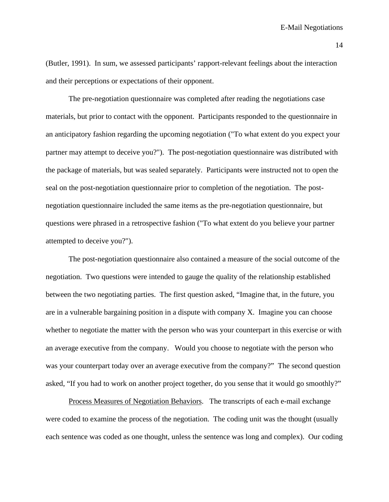(Butler, 1991). In sum, we assessed participants' rapport-relevant feelings about the interaction and their perceptions or expectations of their opponent.

The pre-negotiation questionnaire was completed after reading the negotiations case materials, but prior to contact with the opponent. Participants responded to the questionnaire in an anticipatory fashion regarding the upcoming negotiation ("To what extent do you expect your partner may attempt to deceive you?"). The post-negotiation questionnaire was distributed with the package of materials, but was sealed separately. Participants were instructed not to open the seal on the post-negotiation questionnaire prior to completion of the negotiation. The postnegotiation questionnaire included the same items as the pre-negotiation questionnaire, but questions were phrased in a retrospective fashion ("To what extent do you believe your partner attempted to deceive you?").

The post-negotiation questionnaire also contained a measure of the social outcome of the negotiation. Two questions were intended to gauge the quality of the relationship established between the two negotiating parties. The first question asked, "Imagine that, in the future, you are in a vulnerable bargaining position in a dispute with company X. Imagine you can choose whether to negotiate the matter with the person who was your counterpart in this exercise or with an average executive from the company. Would you choose to negotiate with the person who was your counterpart today over an average executive from the company?" The second question asked, "If you had to work on another project together, do you sense that it would go smoothly?"

Process Measures of Negotiation Behaviors. The transcripts of each e-mail exchange were coded to examine the process of the negotiation. The coding unit was the thought (usually each sentence was coded as one thought, unless the sentence was long and complex). Our coding

14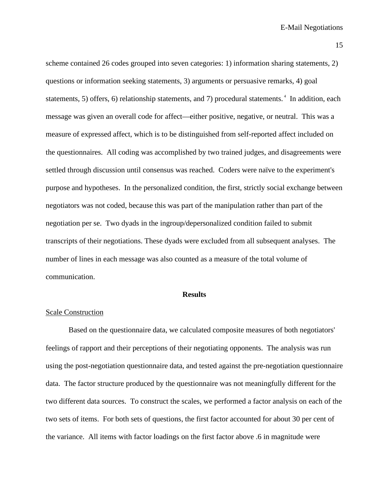scheme contained 26 codes grouped into seven categories: 1) information sharing statements, 2) questions or information seeking statements, 3) arguments or persuasive remarks, 4) goal statements, 5) offers, 6) relationship statements, and 7) procedural statements.<sup>4</sup> In addition, each message was given an overall code for affect—either positive, negative, or neutral. This was a measure of expressed affect, which is to be distinguished from self-reported affect included on the questionnaires. All coding was accomplished by two trained judges, and disagreements were settled through discussion until consensus was reached. Coders were naïve to the experiment's purpose and hypotheses. In the personalized condition, the first, strictly social exchange between negotiators was not coded, because this was part of the manipulation rather than part of the negotiation per se. Two dyads in the ingroup/depersonalized condition failed to submit transcripts of their negotiations. These dyads were excluded from all subsequent analyses. The number of lines in each message was also counted as a measure of the total volume of communication.

#### **Results**

#### Scale Construction

Based on the questionnaire data, we calculated composite measures of both negotiators' feelings of rapport and their perceptions of their negotiating opponents. The analysis was run using the post-negotiation questionnaire data, and tested against the pre-negotiation questionnaire data. The factor structure produced by the questionnaire was not meaningfully different for the two different data sources. To construct the scales, we performed a factor analysis on each of the two sets of items. For both sets of questions, the first factor accounted for about 30 per cent of the variance. All items with factor loadings on the first factor above .6 in magnitude were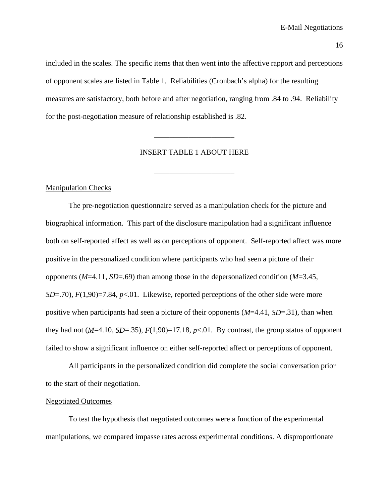included in the scales. The specific items that then went into the affective rapport and perceptions of opponent scales are listed in Table 1. Reliabilities (Cronbach's alpha) for the resulting measures are satisfactory, both before and after negotiation, ranging from .84 to .94. Reliability for the post-negotiation measure of relationship established is .82.

# INSERT TABLE 1 ABOUT HERE

\_\_\_\_\_\_\_\_\_\_\_\_\_\_\_\_\_\_\_\_\_

\_\_\_\_\_\_\_\_\_\_\_\_\_\_\_\_\_\_\_\_\_

### Manipulation Checks

The pre-negotiation questionnaire served as a manipulation check for the picture and biographical information. This part of the disclosure manipulation had a significant influence both on self-reported affect as well as on perceptions of opponent. Self-reported affect was more positive in the personalized condition where participants who had seen a picture of their opponents (*M*=4.11, *SD*=.69) than among those in the depersonalized condition (*M*=3.45, *SD*=.70),  $F(1,90)$ =7.84,  $p<01$ . Likewise, reported perceptions of the other side were more positive when participants had seen a picture of their opponents (*M*=4.41, *SD*=.31), than when they had not  $(M=4.10, SD=35)$ ,  $F(1,90)=17.18$ ,  $p<.01$ . By contrast, the group status of opponent failed to show a significant influence on either self-reported affect or perceptions of opponent.

All participants in the personalized condition did complete the social conversation prior to the start of their negotiation.

## Negotiated Outcomes

To test the hypothesis that negotiated outcomes were a function of the experimental manipulations, we compared impasse rates across experimental conditions. A disproportionate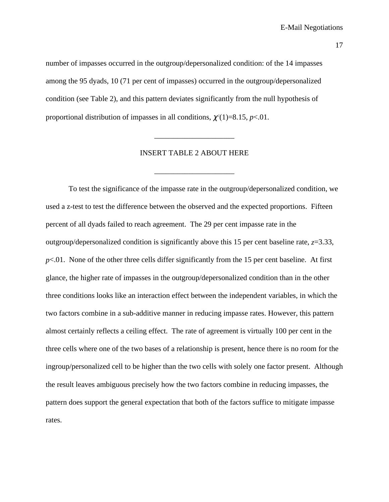number of impasses occurred in the outgroup/depersonalized condition: of the 14 impasses among the 95 dyads, 10 (71 per cent of impasses) occurred in the outgroup/depersonalized condition (see Table 2), and this pattern deviates significantly from the null hypothesis of proportional distribution of impasses in all conditions, χ *<sup>2</sup>*(1)=8.15, *p*<.01.

# INSERT TABLE 2 ABOUT HERE

\_\_\_\_\_\_\_\_\_\_\_\_\_\_\_\_\_\_\_\_\_

\_\_\_\_\_\_\_\_\_\_\_\_\_\_\_\_\_\_\_\_\_

To test the significance of the impasse rate in the outgroup/depersonalized condition, we used a z-test to test the difference between the observed and the expected proportions. Fifteen percent of all dyads failed to reach agreement. The 29 per cent impasse rate in the outgroup/depersonalized condition is significantly above this 15 per cent baseline rate,  $z=3.33$ ,  $p<.01$ . None of the other three cells differ significantly from the 15 per cent baseline. At first glance, the higher rate of impasses in the outgroup/depersonalized condition than in the other three conditions looks like an interaction effect between the independent variables, in which the two factors combine in a sub-additive manner in reducing impasse rates. However, this pattern almost certainly reflects a ceiling effect. The rate of agreement is virtually 100 per cent in the three cells where one of the two bases of a relationship is present, hence there is no room for the ingroup/personalized cell to be higher than the two cells with solely one factor present. Although the result leaves ambiguous precisely how the two factors combine in reducing impasses, the pattern does support the general expectation that both of the factors suffice to mitigate impasse rates.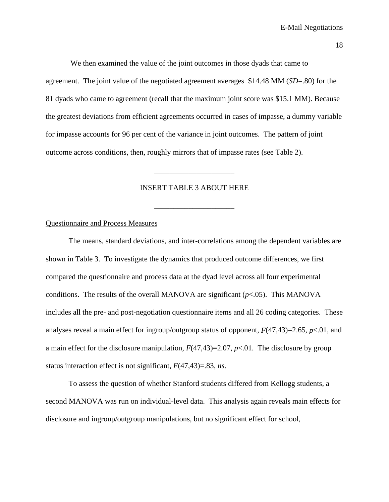We then examined the value of the joint outcomes in those dyads that came to agreement. The joint value of the negotiated agreement averages \$14.48 MM (*SD*=.80) for the 81 dyads who came to agreement (recall that the maximum joint score was \$15.1 MM). Because the greatest deviations from efficient agreements occurred in cases of impasse, a dummy variable for impasse accounts for 96 per cent of the variance in joint outcomes. The pattern of joint outcome across conditions, then, roughly mirrors that of impasse rates (see Table 2).

# INSERT TABLE 3 ABOUT HERE

\_\_\_\_\_\_\_\_\_\_\_\_\_\_\_\_\_\_\_\_\_

\_\_\_\_\_\_\_\_\_\_\_\_\_\_\_\_\_\_\_\_\_

# Questionnaire and Process Measures

The means, standard deviations, and inter-correlations among the dependent variables are shown in Table 3. To investigate the dynamics that produced outcome differences, we first compared the questionnaire and process data at the dyad level across all four experimental conditions. The results of the overall MANOVA are significant (*p*<.05). This MANOVA includes all the pre- and post-negotiation questionnaire items and all 26 coding categories. These analyses reveal a main effect for ingroup/outgroup status of opponent, *F*(47,43)=2.65, *p*<.01, and a main effect for the disclosure manipulation, *F*(47,43)=2.07, *p*<.01. The disclosure by group status interaction effect is not significant, *F*(47,43)=.83, *ns*.

To assess the question of whether Stanford students differed from Kellogg students, a second MANOVA was run on individual-level data. This analysis again reveals main effects for disclosure and ingroup/outgroup manipulations, but no significant effect for school,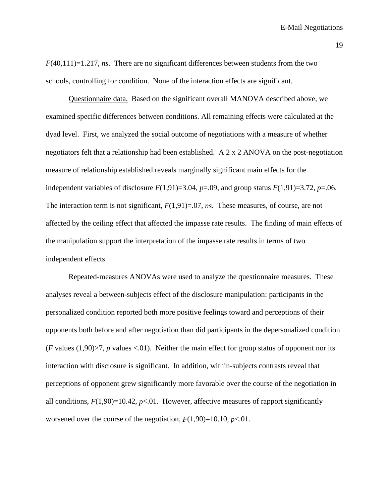$F(40,111)=1.217$ , *ns*. There are no significant differences between students from the two schools, controlling for condition. None of the interaction effects are significant.

Questionnaire data. Based on the significant overall MANOVA described above, we examined specific differences between conditions. All remaining effects were calculated at the dyad level. First, we analyzed the social outcome of negotiations with a measure of whether negotiators felt that a relationship had been established. A 2 x 2 ANOVA on the post-negotiation measure of relationship established reveals marginally significant main effects for the independent variables of disclosure  $F(1,91)=3.04$ ,  $p=.09$ , and group status  $F(1,91)=3.72$ ,  $p=.06$ . The interaction term is not significant,  $F(1,91)=07$ , *ns*. These measures, of course, are not affected by the ceiling effect that affected the impasse rate results. The finding of main effects of the manipulation support the interpretation of the impasse rate results in terms of two independent effects.

Repeated-measures ANOVAs were used to analyze the questionnaire measures. These analyses reveal a between-subjects effect of the disclosure manipulation: participants in the personalized condition reported both more positive feelings toward and perceptions of their opponents both before and after negotiation than did participants in the depersonalized condition (*F* values  $(1,90)$ ) $\ge$ 7, *p* values <.01). Neither the main effect for group status of opponent nor its interaction with disclosure is significant. In addition, within-subjects contrasts reveal that perceptions of opponent grew significantly more favorable over the course of the negotiation in all conditions,  $F(1,90)=10.42$ ,  $p<.01$ . However, affective measures of rapport significantly worsened over the course of the negotiation,  $F(1,90)=10.10$ ,  $p<.01$ .

19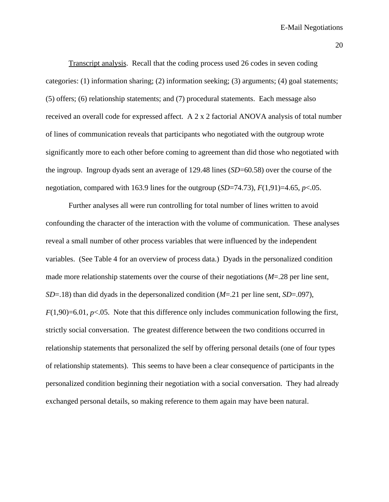20

Transcript analysis. Recall that the coding process used 26 codes in seven coding categories: (1) information sharing; (2) information seeking; (3) arguments; (4) goal statements; (5) offers; (6) relationship statements; and (7) procedural statements. Each message also received an overall code for expressed affect. A 2 x 2 factorial ANOVA analysis of total number of lines of communication reveals that participants who negotiated with the outgroup wrote significantly more to each other before coming to agreement than did those who negotiated with the ingroup. Ingroup dyads sent an average of 129.48 lines (*SD*=60.58) over the course of the negotiation, compared with 163.9 lines for the outgroup (*SD*=74.73), *F*(1,91)=4.65, *p*<.05.

Further analyses all were run controlling for total number of lines written to avoid confounding the character of the interaction with the volume of communication. These analyses reveal a small number of other process variables that were influenced by the independent variables. (See Table 4 for an overview of process data.) Dyads in the personalized condition made more relationship statements over the course of their negotiations (*M*=.28 per line sent, *SD*=.18) than did dyads in the depersonalized condition (*M*=.21 per line sent, *SD*=.097), *F*(1,90)=6.01, *p*<.05. Note that this difference only includes communication following the first, strictly social conversation. The greatest difference between the two conditions occurred in relationship statements that personalized the self by offering personal details (one of four types of relationship statements). This seems to have been a clear consequence of participants in the personalized condition beginning their negotiation with a social conversation. They had already exchanged personal details, so making reference to them again may have been natural.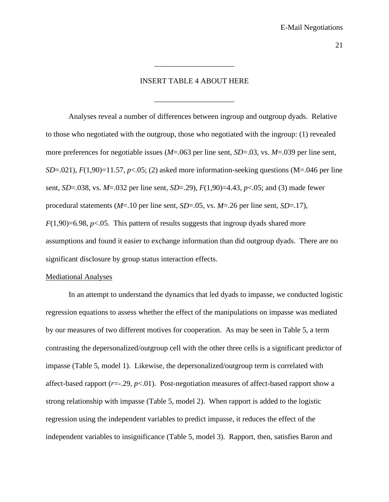# INSERT TABLE 4 ABOUT HERE

\_\_\_\_\_\_\_\_\_\_\_\_\_\_\_\_\_\_\_\_\_

\_\_\_\_\_\_\_\_\_\_\_\_\_\_\_\_\_\_\_\_\_

Analyses reveal a number of differences between ingroup and outgroup dyads. Relative to those who negotiated with the outgroup, those who negotiated with the ingroup: (1) revealed more preferences for negotiable issues (*M*=.063 per line sent, *SD*=.03, vs. *M*=.039 per line sent, *SD*=.021),  $F(1,90)$ =11.57,  $p<.05$ ; (2) asked more information-seeking questions (M=.046 per line sent, *SD*=.038, vs. *M*=.032 per line sent, *SD*=.29), *F*(1,90)=4.43, *p*<.05; and (3) made fewer procedural statements (*M*=.10 per line sent, *SD*=.05, vs. *M*=.26 per line sent, *SD*=.17),  $F(1,90)=6.98$ ,  $p<.05$ . This pattern of results suggests that ingroup dyads shared more assumptions and found it easier to exchange information than did outgroup dyads. There are no significant disclosure by group status interaction effects.

#### Mediational Analyses

In an attempt to understand the dynamics that led dyads to impasse, we conducted logistic regression equations to assess whether the effect of the manipulations on impasse was mediated by our measures of two different motives for cooperation. As may be seen in Table 5, a term contrasting the depersonalized/outgroup cell with the other three cells is a significant predictor of impasse (Table 5, model 1). Likewise, the depersonalized/outgroup term is correlated with affect-based rapport  $(r=.29, p<.01)$ . Post-negotiation measures of affect-based rapport show a strong relationship with impasse (Table 5, model 2). When rapport is added to the logistic regression using the independent variables to predict impasse, it reduces the effect of the independent variables to insignificance (Table 5, model 3). Rapport, then, satisfies Baron and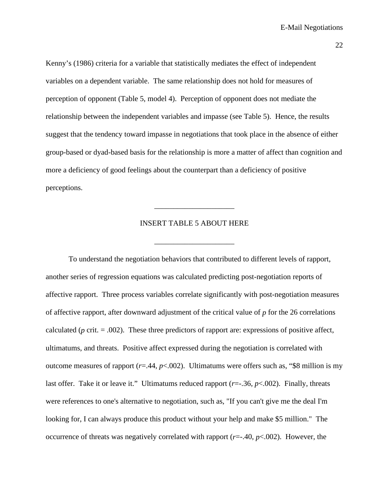Kenny's (1986) criteria for a variable that statistically mediates the effect of independent variables on a dependent variable. The same relationship does not hold for measures of perception of opponent (Table 5, model 4). Perception of opponent does not mediate the relationship between the independent variables and impasse (see Table 5). Hence, the results suggest that the tendency toward impasse in negotiations that took place in the absence of either group-based or dyad-based basis for the relationship is more a matter of affect than cognition and more a deficiency of good feelings about the counterpart than a deficiency of positive perceptions.

# INSERT TABLE 5 ABOUT HERE

\_\_\_\_\_\_\_\_\_\_\_\_\_\_\_\_\_\_\_\_\_

\_\_\_\_\_\_\_\_\_\_\_\_\_\_\_\_\_\_\_\_\_

To understand the negotiation behaviors that contributed to different levels of rapport, another series of regression equations was calculated predicting post-negotiation reports of affective rapport. Three process variables correlate significantly with post-negotiation measures of affective rapport, after downward adjustment of the critical value of *p* for the 26 correlations calculated (*p* crit. = .002). These three predictors of rapport are: expressions of positive affect, ultimatums, and threats. Positive affect expressed during the negotiation is correlated with outcome measures of rapport ( $r = .44$ ,  $p < .002$ ). Ultimatums were offers such as, "\$8 million is my last offer. Take it or leave it." Ultimatums reduced rapport (*r*=-.36, *p*<.002). Finally, threats were references to one's alternative to negotiation, such as, "If you can't give me the deal I'm looking for, I can always produce this product without your help and make \$5 million." The occurrence of threats was negatively correlated with rapport (*r*=-.40, *p*<.002). However, the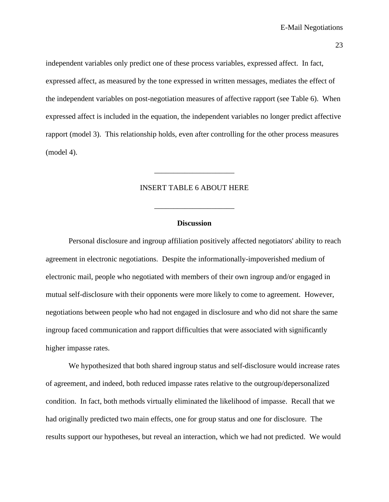independent variables only predict one of these process variables, expressed affect. In fact, expressed affect, as measured by the tone expressed in written messages, mediates the effect of the independent variables on post-negotiation measures of affective rapport (see Table 6). When expressed affect is included in the equation, the independent variables no longer predict affective rapport (model 3). This relationship holds, even after controlling for the other process measures (model 4).

# INSERT TABLE 6 ABOUT HERE

\_\_\_\_\_\_\_\_\_\_\_\_\_\_\_\_\_\_\_\_\_

# **Discussion**

\_\_\_\_\_\_\_\_\_\_\_\_\_\_\_\_\_\_\_\_\_

Personal disclosure and ingroup affiliation positively affected negotiators' ability to reach agreement in electronic negotiations. Despite the informationally-impoverished medium of electronic mail, people who negotiated with members of their own ingroup and/or engaged in mutual self-disclosure with their opponents were more likely to come to agreement. However, negotiations between people who had not engaged in disclosure and who did not share the same ingroup faced communication and rapport difficulties that were associated with significantly higher impasse rates.

We hypothesized that both shared ingroup status and self-disclosure would increase rates of agreement, and indeed, both reduced impasse rates relative to the outgroup/depersonalized condition. In fact, both methods virtually eliminated the likelihood of impasse. Recall that we had originally predicted two main effects, one for group status and one for disclosure. The results support our hypotheses, but reveal an interaction, which we had not predicted. We would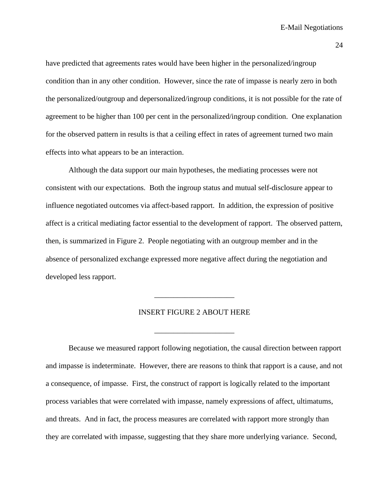24

have predicted that agreements rates would have been higher in the personalized/ingroup condition than in any other condition. However, since the rate of impasse is nearly zero in both the personalized/outgroup and depersonalized/ingroup conditions, it is not possible for the rate of agreement to be higher than 100 per cent in the personalized/ingroup condition. One explanation for the observed pattern in results is that a ceiling effect in rates of agreement turned two main effects into what appears to be an interaction.

Although the data support our main hypotheses, the mediating processes were not consistent with our expectations. Both the ingroup status and mutual self-disclosure appear to influence negotiated outcomes via affect-based rapport. In addition, the expression of positive affect is a critical mediating factor essential to the development of rapport. The observed pattern, then, is summarized in Figure 2. People negotiating with an outgroup member and in the absence of personalized exchange expressed more negative affect during the negotiation and developed less rapport.

# INSERT FIGURE 2 ABOUT HERE

\_\_\_\_\_\_\_\_\_\_\_\_\_\_\_\_\_\_\_\_\_

\_\_\_\_\_\_\_\_\_\_\_\_\_\_\_\_\_\_\_\_\_

Because we measured rapport following negotiation, the causal direction between rapport and impasse is indeterminate. However, there are reasons to think that rapport is a cause, and not a consequence, of impasse. First, the construct of rapport is logically related to the important process variables that were correlated with impasse, namely expressions of affect, ultimatums, and threats. And in fact, the process measures are correlated with rapport more strongly than they are correlated with impasse, suggesting that they share more underlying variance. Second,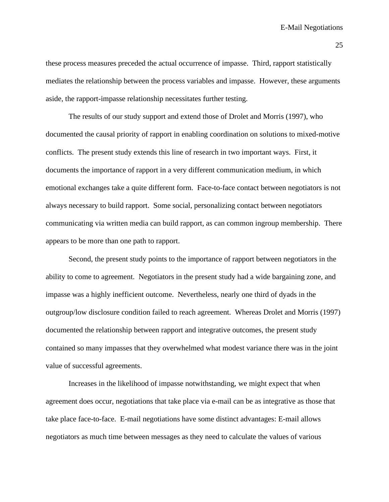these process measures preceded the actual occurrence of impasse. Third, rapport statistically mediates the relationship between the process variables and impasse. However, these arguments aside, the rapport-impasse relationship necessitates further testing.

The results of our study support and extend those of Drolet and Morris (1997), who documented the causal priority of rapport in enabling coordination on solutions to mixed-motive conflicts. The present study extends this line of research in two important ways. First, it documents the importance of rapport in a very different communication medium, in which emotional exchanges take a quite different form. Face-to-face contact between negotiators is not always necessary to build rapport. Some social, personalizing contact between negotiators communicating via written media can build rapport, as can common ingroup membership. There appears to be more than one path to rapport.

Second, the present study points to the importance of rapport between negotiators in the ability to come to agreement. Negotiators in the present study had a wide bargaining zone, and impasse was a highly inefficient outcome. Nevertheless, nearly one third of dyads in the outgroup/low disclosure condition failed to reach agreement. Whereas Drolet and Morris (1997) documented the relationship between rapport and integrative outcomes, the present study contained so many impasses that they overwhelmed what modest variance there was in the joint value of successful agreements.

Increases in the likelihood of impasse notwithstanding, we might expect that when agreement does occur, negotiations that take place via e-mail can be as integrative as those that take place face-to-face. E-mail negotiations have some distinct advantages: E-mail allows negotiators as much time between messages as they need to calculate the values of various

25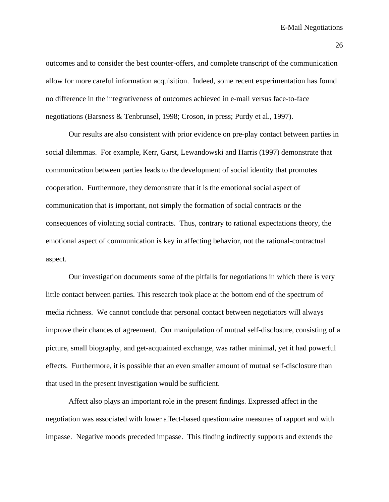outcomes and to consider the best counter-offers, and complete transcript of the communication allow for more careful information acquisition. Indeed, some recent experimentation has found no difference in the integrativeness of outcomes achieved in e-mail versus face-to-face negotiations (Barsness & Tenbrunsel, 1998; Croson, in press; Purdy et al., 1997).

Our results are also consistent with prior evidence on pre-play contact between parties in social dilemmas. For example, Kerr, Garst, Lewandowski and Harris (1997) demonstrate that communication between parties leads to the development of social identity that promotes cooperation. Furthermore, they demonstrate that it is the emotional social aspect of communication that is important, not simply the formation of social contracts or the consequences of violating social contracts. Thus, contrary to rational expectations theory, the emotional aspect of communication is key in affecting behavior, not the rational-contractual aspect.

Our investigation documents some of the pitfalls for negotiations in which there is very little contact between parties. This research took place at the bottom end of the spectrum of media richness. We cannot conclude that personal contact between negotiators will always improve their chances of agreement. Our manipulation of mutual self-disclosure, consisting of a picture, small biography, and get-acquainted exchange, was rather minimal, yet it had powerful effects. Furthermore, it is possible that an even smaller amount of mutual self-disclosure than that used in the present investigation would be sufficient.

Affect also plays an important role in the present findings. Expressed affect in the negotiation was associated with lower affect-based questionnaire measures of rapport and with impasse. Negative moods preceded impasse. This finding indirectly supports and extends the

26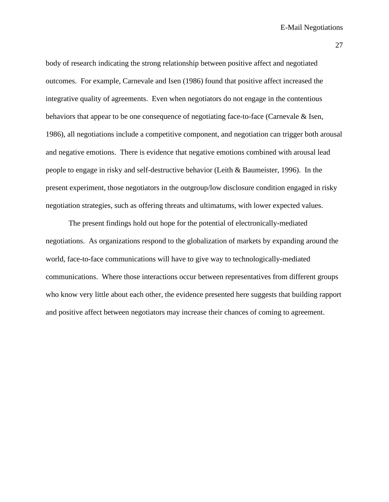27

body of research indicating the strong relationship between positive affect and negotiated outcomes. For example, Carnevale and Isen (1986) found that positive affect increased the integrative quality of agreements. Even when negotiators do not engage in the contentious behaviors that appear to be one consequence of negotiating face-to-face (Carnevale & Isen, 1986), all negotiations include a competitive component, and negotiation can trigger both arousal and negative emotions. There is evidence that negative emotions combined with arousal lead people to engage in risky and self-destructive behavior (Leith & Baumeister, 1996). In the present experiment, those negotiators in the outgroup/low disclosure condition engaged in risky negotiation strategies, such as offering threats and ultimatums, with lower expected values.

The present findings hold out hope for the potential of electronically-mediated negotiations. As organizations respond to the globalization of markets by expanding around the world, face-to-face communications will have to give way to technologically-mediated communications. Where those interactions occur between representatives from different groups who know very little about each other, the evidence presented here suggests that building rapport and positive affect between negotiators may increase their chances of coming to agreement.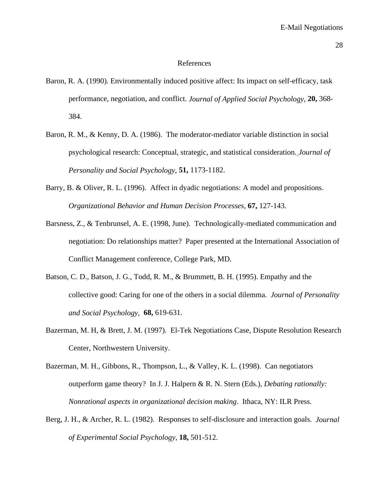# References

- Baron, R. A. (1990). Environmentally induced positive affect: Its impact on self-efficacy, task performance, negotiation, and conflict. *Journal of Applied Social Psychology,* **20,** 368- 384.
- Baron, R. M., & Kenny, D. A. (1986). The moderator-mediator variable distinction in social psychological research: Conceptual, strategic, and statistical consideration. *Journal of Personality and Social Psychology,* **51,** 1173-1182.
- Barry, B. & Oliver, R. L. (1996). Affect in dyadic negotiations: A model and propositions. *Organizational Behavior and Human Decision Processes,* **67,** 127-143.
- Barsness, Z., & Tenbrunsel, A. E. (1998, June). Technologically-mediated communication and negotiation: Do relationships matter? Paper presented at the International Association of Conflict Management conference, College Park, MD.
- Batson, C. D., Batson, J. G., Todd, R. M., & Brummett, B. H. (1995). Empathy and the collective good: Caring for one of the others in a social dilemma. *Journal of Personality and Social Psychology,* **68,** 619-631.
- Bazerman, M. H, & Brett, J. M. (1997). El-Tek Negotiations Case, Dispute Resolution Research Center, Northwestern University.
- Bazerman, M. H., Gibbons, R., Thompson, L., & Valley, K. L. (1998). Can negotiators outperform game theory? In J. J. Halpern & R. N. Stern (Eds.), *Debating rationally: Nonrational aspects in organizational decision making*. Ithaca, NY: ILR Press.
- Berg, J. H., & Archer, R. L. (1982). Responses to self-disclosure and interaction goals. *Journal of Experimental Social Psychology,* **18,** 501-512.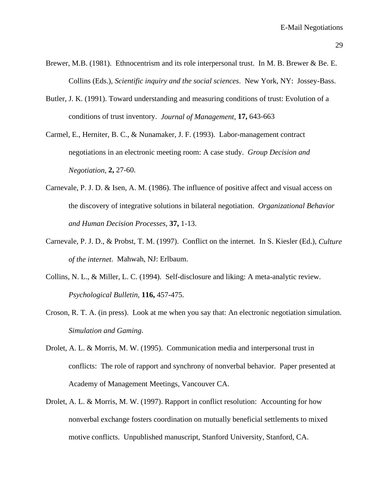- Brewer, M.B. (1981). Ethnocentrism and its role interpersonal trust. In M. B. Brewer & Be. E. Collins (Eds.), *Scientific inquiry and the social sciences*. New York, NY: Jossey-Bass.
- Butler, J. K. (1991). Toward understanding and measuring conditions of trust: Evolution of a conditions of trust inventory. *Journal of Management,* **17,** 643-663

Carmel, E., Herniter, B. C., & Nunamaker, J. F. (1993). Labor-management contract negotiations in an electronic meeting room: A case study. *Group Decision and Negotiation,* **2,** 27-60.

- Carnevale, P. J. D. & Isen, A. M. (1986). The influence of positive affect and visual access on the discovery of integrative solutions in bilateral negotiation. *Organizational Behavior and Human Decision Processes,* **37,** 1-13.
- Carnevale, P. J. D., & Probst, T. M. (1997). Conflict on the internet. In S. Kiesler (Ed.), *Culture of the internet*. Mahwah, NJ: Erlbaum.
- Collins, N. L., & Miller, L. C. (1994). Self-disclosure and liking: A meta-analytic review. *Psychological Bulletin,* **116,** 457-475.
- Croson, R. T. A. (in press). Look at me when you say that: An electronic negotiation simulation. *Simulation and Gaming*.
- Drolet, A. L. & Morris, M. W. (1995). Communication media and interpersonal trust in conflicts: The role of rapport and synchrony of nonverbal behavior. Paper presented at Academy of Management Meetings, Vancouver CA.
- Drolet, A. L. & Morris, M. W. (1997). Rapport in conflict resolution: Accounting for how nonverbal exchange fosters coordination on mutually beneficial settlements to mixed motive conflicts. Unpublished manuscript, Stanford University, Stanford, CA.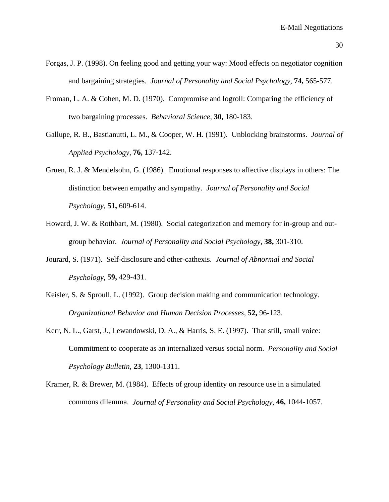- Forgas, J. P. (1998). On feeling good and getting your way: Mood effects on negotiator cognition and bargaining strategies. *Journal of Personality and Social Psychology,* **74,** 565-577.
- Froman, L. A. & Cohen, M. D. (1970). Compromise and logroll: Comparing the efficiency of two bargaining processes. *Behavioral Science,* **30,** 180-183.
- Gallupe, R. B., Bastianutti, L. M., & Cooper, W. H. (1991). Unblocking brainstorms. *Journal of Applied Psychology,* **76,** 137-142.
- Gruen, R. J. & Mendelsohn, G. (1986). Emotional responses to affective displays in others: The distinction between empathy and sympathy. *Journal of Personality and Social Psychology,* **51,** 609-614.
- Howard, J. W. & Rothbart, M. (1980). Social categorization and memory for in-group and outgroup behavior. *Journal of Personality and Social Psychology,* **38,** 301-310.
- Jourard, S. (1971). Self-disclosure and other-cathexis. *Journal of Abnormal and Social Psychology,* **59,** 429-431.
- Keisler, S. & Sproull, L. (1992). Group decision making and communication technology. *Organizational Behavior and Human Decision Processes,* **52,** 96-123.
- Kerr, N. L., Garst, J., Lewandowski, D. A., & Harris, S. E. (1997). That still, small voice: Commitment to cooperate as an internalized versus social norm. *Personality and Social Psychology Bulletin,* **23**, 1300-1311.
- Kramer, R. & Brewer, M. (1984). Effects of group identity on resource use in a simulated commons dilemma. *Journal of Personality and Social Psychology,* **46,** 1044-1057.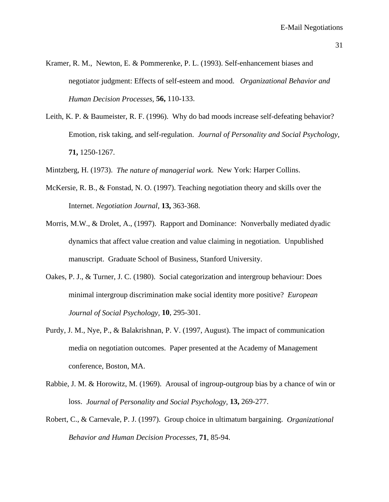- Kramer, R. M., Newton, E. & Pommerenke, P. L. (1993). Self-enhancement biases and negotiator judgment: Effects of self-esteem and mood. *Organizational Behavior and Human Decision Processes,* **56,** 110-133.
- Leith, K. P. & Baumeister, R. F. (1996). Why do bad moods increase self-defeating behavior? Emotion, risk taking, and self-regulation. *Journal of Personality and Social Psychology,* **71,** 1250-1267.
- Mintzberg, H. (1973). *The nature of managerial work*. New York: Harper Collins.
- McKersie, R. B., & Fonstad, N. O. (1997). Teaching negotiation theory and skills over the Internet. *Negotiation Journal,* **13,** 363-368.
- Morris, M.W., & Drolet, A., (1997). Rapport and Dominance: Nonverbally mediated dyadic dynamics that affect value creation and value claiming in negotiation. Unpublished manuscript. Graduate School of Business, Stanford University.
- Oakes, P. J., & Turner, J. C. (1980). Social categorization and intergroup behaviour: Does minimal intergroup discrimination make social identity more positive? *European Journal of Social Psychology,* **10**, 295-301.
- Purdy, J. M., Nye, P., & Balakrishnan, P. V. (1997, August). The impact of communication media on negotiation outcomes. Paper presented at the Academy of Management conference, Boston, MA.
- Rabbie, J. M. & Horowitz, M. (1969). Arousal of ingroup-outgroup bias by a chance of win or loss. *Journal of Personality and Social Psychology,* **13,** 269-277.
- Robert, C., & Carnevale, P. J. (1997). Group choice in ultimatum bargaining. *Organizational Behavior and Human Decision Processes,* **71**, 85-94.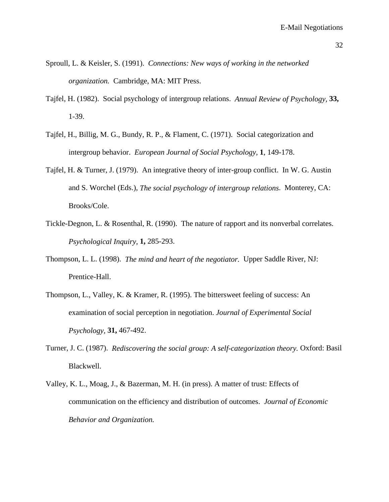- Sproull, L. & Keisler, S. (1991). *Connections: New ways of working in the networked organization.* Cambridge, MA: MIT Press.
- Tajfel, H. (1982). Social psychology of intergroup relations. *Annual Review of Psychology,* **33,** 1-39.
- Tajfel, H., Billig, M. G., Bundy, R. P., & Flament, C. (1971). Social categorization and intergroup behavior. *European Journal of Social Psychology,* **1**, 149-178.
- Tajfel, H. & Turner, J. (1979). An integrative theory of inter-group conflict. In W. G. Austin and S. Worchel (Eds.), *The social psychology of intergroup relations*. Monterey, CA: Brooks/Cole.
- Tickle-Degnon, L. & Rosenthal, R. (1990). The nature of rapport and its nonverbal correlates. *Psychological Inquiry,* **1,** 285-293.
- Thompson, L. L. (1998). *The mind and heart of the negotiator.* Upper Saddle River, NJ: Prentice-Hall.
- Thompson, L., Valley, K. & Kramer, R. (1995). The bittersweet feeling of success: An examination of social perception in negotiation. *Journal of Experimental Social Psychology,* **31,** 467-492.
- Turner, J. C. (1987). *Rediscovering the social group: A self-categorization theory.* Oxford: Basil Blackwell.
- Valley, K. L., Moag, J., & Bazerman, M. H. (in press). A matter of trust: Effects of communication on the efficiency and distribution of outcomes. *Journal of Economic Behavior and Organization.*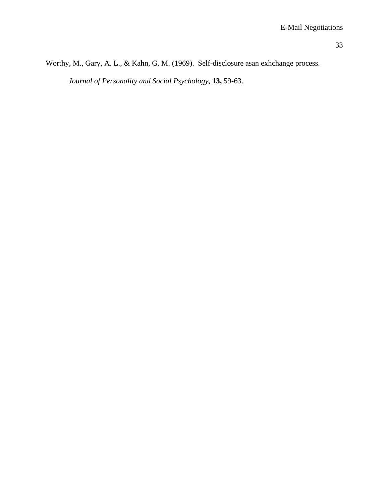Worthy, M., Gary, A. L., & Kahn, G. M. (1969). Self-disclosure asan exhchange process.

*Journal of Personality and Social Psychology*, **13,** 59-63.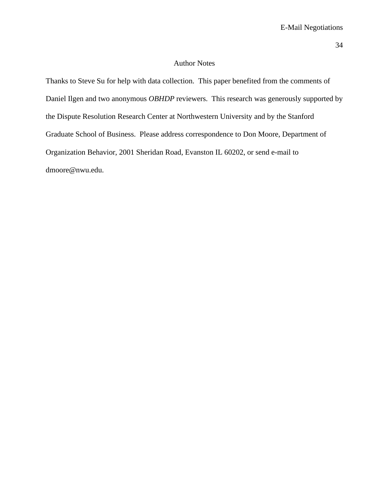# Author Notes

Thanks to Steve Su for help with data collection. This paper benefited from the comments of Daniel Ilgen and two anonymous *OBHDP* reviewers. This research was generously supported by the Dispute Resolution Research Center at Northwestern University and by the Stanford Graduate School of Business. Please address correspondence to Don Moore, Department of Organization Behavior, 2001 Sheridan Road, Evanston IL 60202, or send e-mail to dmoore@nwu.edu.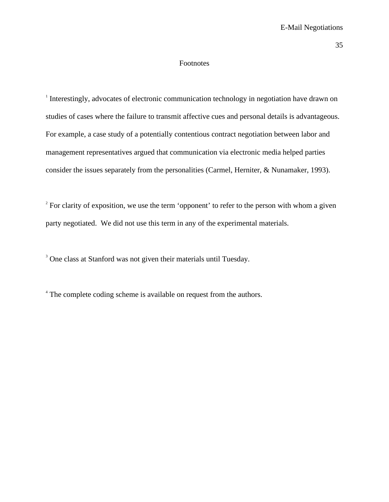# Footnotes

<sup>1</sup> Interestingly, advocates of electronic communication technology in negotiation have drawn on studies of cases where the failure to transmit affective cues and personal details is advantageous. For example, a case study of a potentially contentious contract negotiation between labor and management representatives argued that communication via electronic media helped parties consider the issues separately from the personalities (Carmel, Herniter, & Nunamaker, 1993).

 $2^{2}$  For clarity of exposition, we use the term 'opponent' to refer to the person with whom a given party negotiated. We did not use this term in any of the experimental materials.

<sup>3</sup> One class at Stanford was not given their materials until Tuesday.

<sup>4</sup> The complete coding scheme is available on request from the authors.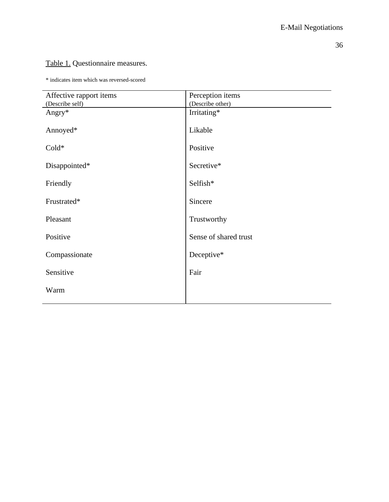# Table 1. Questionnaire measures.

\* indicates item which was reversed-scored

| Affective rapport items | Perception items      |
|-------------------------|-----------------------|
| (Describe self)         | (Describe other)      |
| Angry*                  | Irritating*           |
|                         |                       |
| Annoyed*                | Likable               |
|                         |                       |
| $Cold*$                 | Positive              |
|                         |                       |
| Disappointed*           | Secretive*            |
|                         |                       |
| Friendly                | Selfish*              |
|                         |                       |
| Frustrated*             | Sincere               |
|                         |                       |
| Pleasant                | Trustworthy           |
|                         |                       |
| Positive                | Sense of shared trust |
|                         |                       |
|                         | Deceptive*            |
| Compassionate           |                       |
|                         |                       |
| Sensitive               | Fair                  |
|                         |                       |
| Warm                    |                       |
|                         |                       |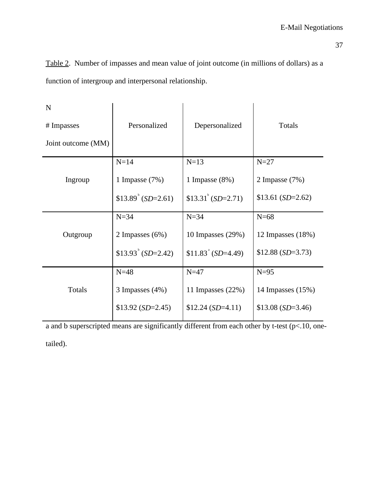Table 2. Number of impasses and mean value of joint outcome (in millions of dollars) as a function of intergroup and interpersonal relationship.

| N<br># Impasses<br>Joint outcome (MM) | Personalized               | Depersonalized                  | Totals              |
|---------------------------------------|----------------------------|---------------------------------|---------------------|
|                                       | $N=14$                     | $N=13$                          | $N=27$              |
| Ingroup                               | 1 Impasse $(7%)$           | 1 Impasse $(8\%)$               | 2 Impasse $(7%)$    |
|                                       | $$13.89$ (SD=2.61)         | $$13.31^{\circ}$ (SD=2.71)      | $$13.61(SD=2.62)$   |
|                                       | $N=34$                     | $N=34$                          | $N=68$              |
| Outgroup                              | 2 Impasses $(6\%)$         | 10 Impasses (29%)               | 12 Impasses $(18%)$ |
|                                       | $$13.93^{\circ}$ (SD=2.42) | $$11.83$ <sup>*</sup> (SD=4.49) | $$12.88(SD=3.73)$   |
|                                       | $N=48$                     | $N=47$                          | $N=95$              |
| <b>Totals</b>                         | 3 Impasses $(4\%)$         | 11 Impasses $(22%)$             | 14 Impasses $(15%)$ |
|                                       | $$13.92(SD=2.45)$          | $$12.24(SD=4.11)$               | $$13.08(SD=3.46)$   |

a and b superscripted means are significantly different from each other by t-test ( $p$ <.10, onetailed).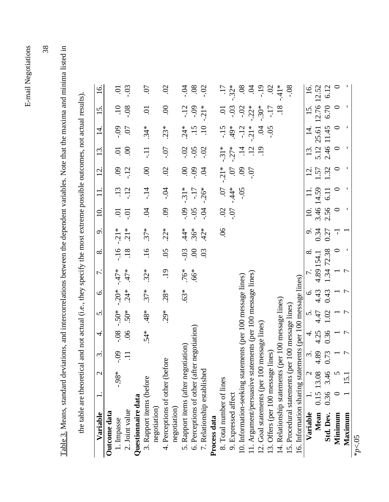E-mail Negotiations E-mail Negotiations 38

Table 3. Means, standard deviations, and intercorrelations between the dependent variables. Note that the maxima and minima listed in Table 3. Means, standard deviations, and intercorrelations between the dependent variables. Note that the maxima and minima listed in

the table are theoretical and not actual (i.e., they specify the most extreme possible outcomes, not actual results). the table are theoretical and not actual (i.e., they specify the most extreme possible outcomes, not actual results).

| 12.76 12.52<br>6.70<br>$60 -$<br>$-21*$<br>$-12$<br>$-0.3$<br>$-0$<br>$-30*$<br>-17<br>$-22*$<br>ą<br>15<br>2.46 11.45<br>$.34*$<br>$23*$<br>5.12 25.61<br>$-15$<br>é0.<br>$24*$<br>$-15$<br>$49*$<br>$\Xi$<br>$-12$<br>$-21*$<br>$-0.5$<br>S<br>Ş<br>$-0.7$<br>$-0.2$<br>$-31*$<br>S<br>$-0.5$<br>$-0$<br>$-27*$<br>Ę<br>ā<br>13<br>$\odot$<br>$\overline{S}$<br>$-0.09$<br>$-21*$<br>දි<br>$-12$<br>S<br>$\ddot{\mathcal{S}}$<br>$\ddot{32}$<br>Ś<br>.57<br>$-0$ .<br>S.<br>$\overline{c}$<br>$\frac{1}{4}$<br>гġ-<br>$-12$<br>$-31*$<br>$-26*$<br>$\dot{c}$<br>$-44*$<br>$-0.5$<br>3.46 14.59<br>$-17$<br>6.11<br>2.56<br>S.<br>$\ddot{\mathrm{6}}$<br>$60 -$<br>$-0.5$<br>S<br>$-5$<br>$-0$ .<br>Ş<br>$\Xi$<br>Ģ<br>$\widetilde{90}$<br>$22*$<br>$\frac{*}{21}$<br>$.37*$<br>$.36*$<br>44<br>$42*$<br>$-21*$<br>0.34<br>0.27<br>ìτ.<br>$\frac{16}{1}$<br>9ŗ-<br>05<br>.18<br>1.34 72.38<br>$0$ .<br>$\odot$<br>$\overline{0}$<br>$\infty$<br>4.89 154.1<br>$32*$<br>$47*$<br>$\ddot{5}$<br>$-47*$<br>76*<br>66*<br>1. Argument/persuasive statements (per 100 message lines)<br>ements (per 100 message lines)<br>16. Information sharing statements (per 100 message lines)<br>$.28*$<br>63*<br>$-20*$<br>$24*$<br>$37*$<br>4.43<br>0.43<br>Ö<br>(4. Relationship statements (per 100 message lines)<br>15. Procedural statements (per 100 message lines)<br>$29*$<br>$-.50*$<br>$50*$<br>$.48*$<br>$\ddot{\Omega}$<br>4.47<br>Ν,<br>2. Goal statements (per 100 message lines)<br>6. Perceptions of other (after negotiation)<br>06<br>$80 -$<br>54*<br>0.36<br>4.25<br>4.<br>5. Rapport items (after negotiation)<br>3. Offers (per 100 message lines)<br>4.89<br>$60 -$<br>0.73<br>ω.<br>fore<br>4. Perceptions of other (bet<br>7. Relationship established<br>10. Information-seeking stat<br><b>Mean</b> 0.15 13.08<br>0.36 3.46<br>15.1<br>$\overline{c}$<br>$*86 -$<br>3. Rapport items (before<br>8. Total number of lines<br>9. Expressed affect<br>Questionnaire data<br>negotiation)<br>negotiation)<br>Std. Dev.<br>2. Joint value<br>Outcome data<br>Variable<br>Maximum<br>Minimum<br>Process data<br>1. Impasse | Variable | $\overline{\mathcal{C}}$ | $\omega$ | 4. | 5. | ن<br>پ | 7. | $\infty$ | ö | $\Xi$ | $\overline{5}$ | 13 | $\vec{4}$ | <u>15</u> |        |
|--------------------------------------------------------------------------------------------------------------------------------------------------------------------------------------------------------------------------------------------------------------------------------------------------------------------------------------------------------------------------------------------------------------------------------------------------------------------------------------------------------------------------------------------------------------------------------------------------------------------------------------------------------------------------------------------------------------------------------------------------------------------------------------------------------------------------------------------------------------------------------------------------------------------------------------------------------------------------------------------------------------------------------------------------------------------------------------------------------------------------------------------------------------------------------------------------------------------------------------------------------------------------------------------------------------------------------------------------------------------------------------------------------------------------------------------------------------------------------------------------------------------------------------------------------------------------------------------------------------------------------------------------------------------------------------------------------------------------------------------------------------------------------------------------------------------------------------------------------------------------------------------------------------------------------------------------------------------------------------------------------------------------------------------------------------------------------------------------------------------------------------|----------|--------------------------|----------|----|----|--------|----|----------|---|-------|----------------|----|-----------|-----------|--------|
|                                                                                                                                                                                                                                                                                                                                                                                                                                                                                                                                                                                                                                                                                                                                                                                                                                                                                                                                                                                                                                                                                                                                                                                                                                                                                                                                                                                                                                                                                                                                                                                                                                                                                                                                                                                                                                                                                                                                                                                                                                                                                                                                      |          |                          |          |    |    |        |    |          |   |       |                |    |           |           |        |
|                                                                                                                                                                                                                                                                                                                                                                                                                                                                                                                                                                                                                                                                                                                                                                                                                                                                                                                                                                                                                                                                                                                                                                                                                                                                                                                                                                                                                                                                                                                                                                                                                                                                                                                                                                                                                                                                                                                                                                                                                                                                                                                                      |          |                          |          |    |    |        |    |          |   |       |                |    |           |           | $\Xi$  |
|                                                                                                                                                                                                                                                                                                                                                                                                                                                                                                                                                                                                                                                                                                                                                                                                                                                                                                                                                                                                                                                                                                                                                                                                                                                                                                                                                                                                                                                                                                                                                                                                                                                                                                                                                                                                                                                                                                                                                                                                                                                                                                                                      |          |                          |          |    |    |        |    |          |   |       |                |    |           |           | $80 -$ |
|                                                                                                                                                                                                                                                                                                                                                                                                                                                                                                                                                                                                                                                                                                                                                                                                                                                                                                                                                                                                                                                                                                                                                                                                                                                                                                                                                                                                                                                                                                                                                                                                                                                                                                                                                                                                                                                                                                                                                                                                                                                                                                                                      |          |                          |          |    |    |        |    |          |   |       |                |    |           |           |        |
|                                                                                                                                                                                                                                                                                                                                                                                                                                                                                                                                                                                                                                                                                                                                                                                                                                                                                                                                                                                                                                                                                                                                                                                                                                                                                                                                                                                                                                                                                                                                                                                                                                                                                                                                                                                                                                                                                                                                                                                                                                                                                                                                      |          |                          |          |    |    |        |    |          |   |       |                |    |           |           | S      |
|                                                                                                                                                                                                                                                                                                                                                                                                                                                                                                                                                                                                                                                                                                                                                                                                                                                                                                                                                                                                                                                                                                                                                                                                                                                                                                                                                                                                                                                                                                                                                                                                                                                                                                                                                                                                                                                                                                                                                                                                                                                                                                                                      |          |                          |          |    |    |        |    |          |   |       |                |    |           |           |        |
|                                                                                                                                                                                                                                                                                                                                                                                                                                                                                                                                                                                                                                                                                                                                                                                                                                                                                                                                                                                                                                                                                                                                                                                                                                                                                                                                                                                                                                                                                                                                                                                                                                                                                                                                                                                                                                                                                                                                                                                                                                                                                                                                      |          |                          |          |    |    |        |    |          |   |       |                |    |           |           | S.     |
|                                                                                                                                                                                                                                                                                                                                                                                                                                                                                                                                                                                                                                                                                                                                                                                                                                                                                                                                                                                                                                                                                                                                                                                                                                                                                                                                                                                                                                                                                                                                                                                                                                                                                                                                                                                                                                                                                                                                                                                                                                                                                                                                      |          |                          |          |    |    |        |    |          |   |       |                |    |           |           |        |
|                                                                                                                                                                                                                                                                                                                                                                                                                                                                                                                                                                                                                                                                                                                                                                                                                                                                                                                                                                                                                                                                                                                                                                                                                                                                                                                                                                                                                                                                                                                                                                                                                                                                                                                                                                                                                                                                                                                                                                                                                                                                                                                                      |          |                          |          |    |    |        |    |          |   |       |                |    |           |           |        |
|                                                                                                                                                                                                                                                                                                                                                                                                                                                                                                                                                                                                                                                                                                                                                                                                                                                                                                                                                                                                                                                                                                                                                                                                                                                                                                                                                                                                                                                                                                                                                                                                                                                                                                                                                                                                                                                                                                                                                                                                                                                                                                                                      |          |                          |          |    |    |        |    |          |   |       |                |    |           |           |        |
|                                                                                                                                                                                                                                                                                                                                                                                                                                                                                                                                                                                                                                                                                                                                                                                                                                                                                                                                                                                                                                                                                                                                                                                                                                                                                                                                                                                                                                                                                                                                                                                                                                                                                                                                                                                                                                                                                                                                                                                                                                                                                                                                      |          |                          |          |    |    |        |    |          |   |       |                |    |           |           |        |
|                                                                                                                                                                                                                                                                                                                                                                                                                                                                                                                                                                                                                                                                                                                                                                                                                                                                                                                                                                                                                                                                                                                                                                                                                                                                                                                                                                                                                                                                                                                                                                                                                                                                                                                                                                                                                                                                                                                                                                                                                                                                                                                                      |          |                          |          |    |    |        |    |          |   |       |                |    |           |           |        |
|                                                                                                                                                                                                                                                                                                                                                                                                                                                                                                                                                                                                                                                                                                                                                                                                                                                                                                                                                                                                                                                                                                                                                                                                                                                                                                                                                                                                                                                                                                                                                                                                                                                                                                                                                                                                                                                                                                                                                                                                                                                                                                                                      |          |                          |          |    |    |        |    |          |   |       |                |    |           |           |        |
|                                                                                                                                                                                                                                                                                                                                                                                                                                                                                                                                                                                                                                                                                                                                                                                                                                                                                                                                                                                                                                                                                                                                                                                                                                                                                                                                                                                                                                                                                                                                                                                                                                                                                                                                                                                                                                                                                                                                                                                                                                                                                                                                      |          |                          |          |    |    |        |    |          |   |       |                |    |           |           |        |
|                                                                                                                                                                                                                                                                                                                                                                                                                                                                                                                                                                                                                                                                                                                                                                                                                                                                                                                                                                                                                                                                                                                                                                                                                                                                                                                                                                                                                                                                                                                                                                                                                                                                                                                                                                                                                                                                                                                                                                                                                                                                                                                                      |          |                          |          |    |    |        |    |          |   |       |                |    |           |           |        |
|                                                                                                                                                                                                                                                                                                                                                                                                                                                                                                                                                                                                                                                                                                                                                                                                                                                                                                                                                                                                                                                                                                                                                                                                                                                                                                                                                                                                                                                                                                                                                                                                                                                                                                                                                                                                                                                                                                                                                                                                                                                                                                                                      |          |                          |          |    |    |        |    |          |   |       |                |    |           |           |        |
|                                                                                                                                                                                                                                                                                                                                                                                                                                                                                                                                                                                                                                                                                                                                                                                                                                                                                                                                                                                                                                                                                                                                                                                                                                                                                                                                                                                                                                                                                                                                                                                                                                                                                                                                                                                                                                                                                                                                                                                                                                                                                                                                      |          |                          |          |    |    |        |    |          |   |       |                |    |           |           |        |
|                                                                                                                                                                                                                                                                                                                                                                                                                                                                                                                                                                                                                                                                                                                                                                                                                                                                                                                                                                                                                                                                                                                                                                                                                                                                                                                                                                                                                                                                                                                                                                                                                                                                                                                                                                                                                                                                                                                                                                                                                                                                                                                                      |          |                          |          |    |    |        |    |          |   |       |                |    |           |           |        |
|                                                                                                                                                                                                                                                                                                                                                                                                                                                                                                                                                                                                                                                                                                                                                                                                                                                                                                                                                                                                                                                                                                                                                                                                                                                                                                                                                                                                                                                                                                                                                                                                                                                                                                                                                                                                                                                                                                                                                                                                                                                                                                                                      |          |                          |          |    |    |        |    |          |   |       |                |    |           |           |        |
|                                                                                                                                                                                                                                                                                                                                                                                                                                                                                                                                                                                                                                                                                                                                                                                                                                                                                                                                                                                                                                                                                                                                                                                                                                                                                                                                                                                                                                                                                                                                                                                                                                                                                                                                                                                                                                                                                                                                                                                                                                                                                                                                      |          |                          |          |    |    |        |    |          |   |       |                |    |           |           |        |
|                                                                                                                                                                                                                                                                                                                                                                                                                                                                                                                                                                                                                                                                                                                                                                                                                                                                                                                                                                                                                                                                                                                                                                                                                                                                                                                                                                                                                                                                                                                                                                                                                                                                                                                                                                                                                                                                                                                                                                                                                                                                                                                                      |          |                          |          |    |    |        |    |          |   |       |                |    |           |           |        |
|                                                                                                                                                                                                                                                                                                                                                                                                                                                                                                                                                                                                                                                                                                                                                                                                                                                                                                                                                                                                                                                                                                                                                                                                                                                                                                                                                                                                                                                                                                                                                                                                                                                                                                                                                                                                                                                                                                                                                                                                                                                                                                                                      |          |                          |          |    |    |        |    |          |   |       |                |    |           |           |        |
|                                                                                                                                                                                                                                                                                                                                                                                                                                                                                                                                                                                                                                                                                                                                                                                                                                                                                                                                                                                                                                                                                                                                                                                                                                                                                                                                                                                                                                                                                                                                                                                                                                                                                                                                                                                                                                                                                                                                                                                                                                                                                                                                      |          |                          |          |    |    |        |    |          |   |       |                |    |           |           |        |
|                                                                                                                                                                                                                                                                                                                                                                                                                                                                                                                                                                                                                                                                                                                                                                                                                                                                                                                                                                                                                                                                                                                                                                                                                                                                                                                                                                                                                                                                                                                                                                                                                                                                                                                                                                                                                                                                                                                                                                                                                                                                                                                                      |          |                          |          |    |    |        |    |          |   |       |                |    |           |           |        |
|                                                                                                                                                                                                                                                                                                                                                                                                                                                                                                                                                                                                                                                                                                                                                                                                                                                                                                                                                                                                                                                                                                                                                                                                                                                                                                                                                                                                                                                                                                                                                                                                                                                                                                                                                                                                                                                                                                                                                                                                                                                                                                                                      |          |                          |          |    |    |        |    |          |   |       |                |    |           |           |        |
|                                                                                                                                                                                                                                                                                                                                                                                                                                                                                                                                                                                                                                                                                                                                                                                                                                                                                                                                                                                                                                                                                                                                                                                                                                                                                                                                                                                                                                                                                                                                                                                                                                                                                                                                                                                                                                                                                                                                                                                                                                                                                                                                      |          |                          |          |    |    |        |    |          |   |       |                |    |           |           |        |

\**p*<.05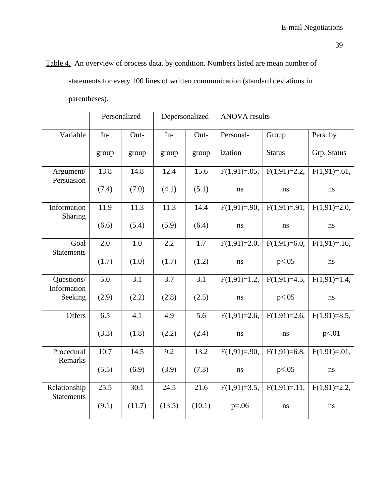Table 4. An overview of process data, by condition. Numbers listed are mean number of statements for every 100 lines of written communication (standard deviations in parentheses).

|                                   | Personalized |        |        | Depersonalized | <b>ANOVA</b> results |                  |                 |
|-----------------------------------|--------------|--------|--------|----------------|----------------------|------------------|-----------------|
| Variable                          | $In-$        | Out-   | $In-$  | Out-           | Personal-            | Group            | Pers. by        |
|                                   | group        | group  | group  | group          | ization              | <b>Status</b>    | Grp. Status     |
| Argument/<br>Persuasion           | 13.8         | 14.8   | 12.4   | 15.6           | $F(1,91)=0.05$ ,     | $F(1,91)=2.2$ ,  | $F(1,91)=0.61,$ |
|                                   | (7.4)        | (7.0)  | (4.1)  | (5.1)          | ns                   | ns               | ns              |
| Information<br>Sharing            | 11.9         | 11.3   | 11.3   | 14.4           | $F(1,91)=.90$ ,      | $F(1,91)=0.91$ , | $F(1,91)=2.0$ , |
|                                   | (6.6)        | (5.4)  | (5.9)  | (6.4)          | ns                   | ns               | ns              |
| Goal<br><b>Statements</b>         | 2.0          | 1.0    | 2.2    | 1.7            | $F(1,91)=2.0$ ,      | $F(1,91)=6.0$ ,  | $F(1,91)=16$ ,  |
|                                   | (1.7)        | (1.0)  | (1.7)  | (1.2)          | ns                   | p<.05            | ns              |
| Questions/<br>Information         | 5.0          | 3.1    | 3.7    | 3.1            | $F(1,91)=1.2$ ,      | $F(1,91)=4.5$ ,  | $F(1,91)=1.4$ , |
| Seeking                           | (2.9)        | (2.2)  | (2.8)  | (2.5)          | ns                   | p<.05            | ns              |
| Offers                            | 6.5          | 4.1    | 4.9    | 5.6            | $F(1,91)=2.6$ ,      | $F(1,91)=2.6$ ,  | $F(1,91)=8.5$ , |
|                                   | (3.3)        | (1.8)  | (2.2)  | (2.4)          | ns                   | ns               | p<.01           |
| Procedural<br>Remarks             | 10.7         | 14.5   | 9.2    | 13.2           | $F(1,91)=.90$ ,      | $F(1,91)=6.8$ ,  | $F(1,91)=01$ ,  |
|                                   | (5.5)        | (6.9)  | (3.9)  | (7.3)          | ns                   | p<.05            | ns              |
| Relationship<br><b>Statements</b> | 25.5         | 30.1   | 24.5   | 21.6           | $F(1,91)=3.5$ ,      | $F(1,91)=.11$ ,  | $F(1,91)=2.2$ , |
|                                   | (9.1)        | (11.7) | (13.5) | (10.1)         | $p = 0.06$           | ns               | ns              |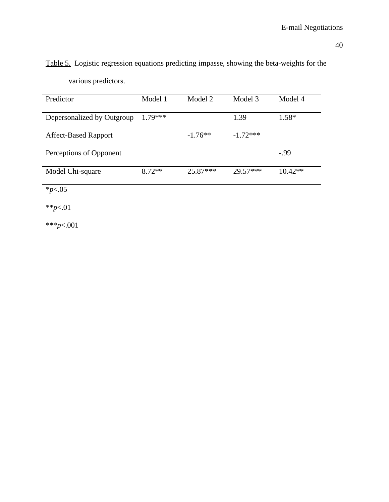# Table 5. Logistic regression equations predicting impasse, showing the beta-weights for the various predictors.

| Predictor                   | Model 1   | Model 2   | Model 3    | Model 4   |
|-----------------------------|-----------|-----------|------------|-----------|
| Depersonalized by Outgroup  | $1.79***$ |           | 1.39       | $1.58*$   |
| <b>Affect-Based Rapport</b> |           | $-1.76**$ | $-1.72***$ |           |
| Perceptions of Opponent     |           |           |            | $-.99$    |
| Model Chi-square            | $8.72**$  | 25.87***  | 29.57***   | $10.42**$ |
| $*_{p<.05}$                 |           |           |            |           |
| ** $p<.01$                  |           |           |            |           |

\*\*\**p*<.001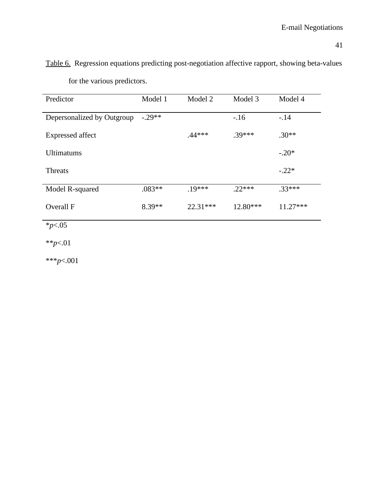Table 6. Regression equations predicting post-negotiation affective rapport, showing beta-values for the various predictors.

| Predictor                  | Model 1  | Model 2    | Model 3  | Model 4    |
|----------------------------|----------|------------|----------|------------|
| Depersonalized by Outgroup | $-.29**$ |            | $-.16$   | $-.14$     |
| <b>Expressed affect</b>    |          | $.44***$   | .39***   | $.30**$    |
| <b>Ultimatums</b>          |          |            |          | $-.20*$    |
| <b>Threats</b>             |          |            |          | $-.22*$    |
| Model R-squared            | $.083**$ | $.19***$   | $22***$  | $.33***$   |
| Overall F                  | $8.39**$ | $22.31***$ | 12.80*** | $11.27***$ |
| $*_{p<.05}$                |          |            |          |            |

\*\**p*<.01

\*\*\**p*<.001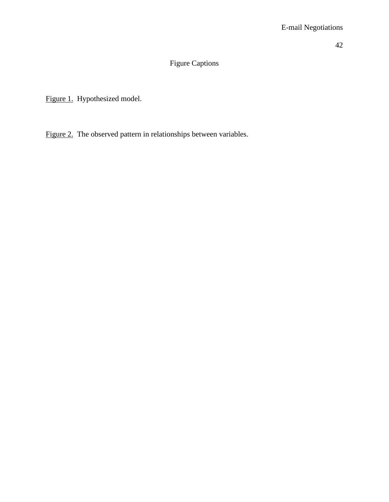# Figure Captions

Figure 1. Hypothesized model.

Figure 2. The observed pattern in relationships between variables.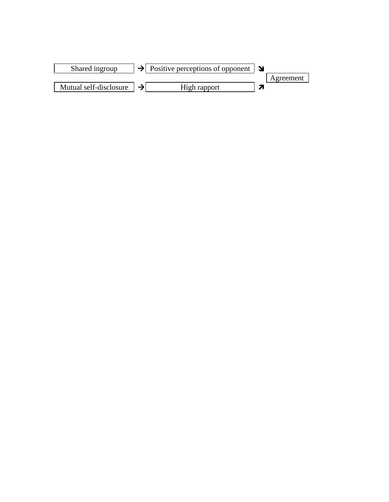